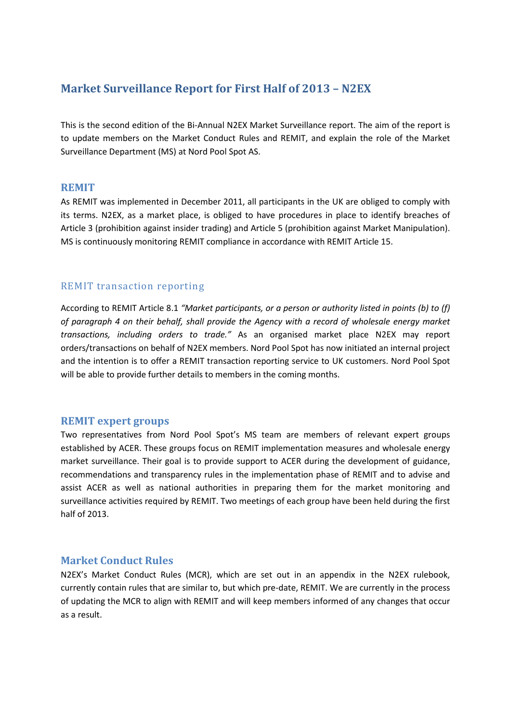# **Market Surveillance Report for First Half of 2013 – N2EX**

This is the second edition of the Bi-Annual N2EX Market Surveillance report. The aim of the report is to update members on the Market Conduct Rules and REMIT, and explain the role of the Market Surveillance Department (MS) at Nord Pool Spot AS.

#### **REMIT**

As REMIT was implemented in December 2011, all participants in the UK are obliged to comply with its terms. N2EX, as a market place, is obliged to have procedures in place to identify breaches of Article 3 (prohibition against insider trading) and Article 5 (prohibition against Market Manipulation). MS is continuously monitoring REMIT compliance in accordance with REMIT Article 15.

# REMIT transaction reporting

According to REMIT Article 8.1 *"Market participants, or a person or authority listed in points (b) to (f) of paragraph 4 on their behalf, shall provide the Agency with a record of wholesale energy market transactions, including orders to trade."* As an organised market place N2EX may report orders/transactions on behalf of N2EX members. Nord Pool Spot has now initiated an internal project and the intention is to offer a REMIT transaction reporting service to UK customers. Nord Pool Spot will be able to provide further details to members in the coming months.

# **REMIT expert groups**

Two representatives from Nord Pool Spot's MS team are members of relevant expert groups established by ACER. These groups focus on REMIT implementation measures and wholesale energy market surveillance. Their goal is to provide support to ACER during the development of guidance, recommendations and transparency rules in the implementation phase of REMIT and to advise and assist ACER as well as national authorities in preparing them for the market monitoring and surveillance activities required by REMIT. Two meetings of each group have been held during the first half of 2013.

### **Market Conduct Rules**

N2EX's Market Conduct Rules (MCR), which are set out in an appendix in the N2EX rulebook, currently contain rules that are similar to, but which pre-date, REMIT. We are currently in the process of updating the MCR to align with REMIT and will keep members informed of any changes that occur as a result.